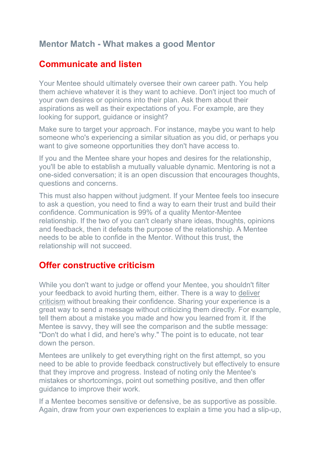## **Mentor Match - What makes a good Mentor**

## **Communicate and listen**

Your Mentee should ultimately oversee their own career path. You help them achieve whatever it is they want to achieve. Don't inject too much of your own desires or opinions into their plan. Ask them about their aspirations as well as their expectations of you. For example, are they looking for support, guidance or insight?

Make sure to target your approach. For instance, maybe you want to help someone who's experiencing a similar situation as you did, or perhaps you want to give someone opportunities they don't have access to.

If you and the Mentee share your hopes and desires for the relationship, you'll be able to establish a mutually valuable dynamic. Mentoring is not a one-sided conversation; it is an open discussion that encourages thoughts, questions and concerns.

This must also happen without judgment. If your Mentee feels too insecure to ask a question, you need to find a way to earn their trust and build their confidence. Communication is 99% of a quality Mentor-Mentee relationship. If the two of you can't clearly share ideas, thoughts, opinions and feedback, then it defeats the purpose of the relationship. A Mentee needs to be able to confide in the Mentor. Without this trust, the relationship will not succeed.

## **Offer constructive criticism**

While you don't want to judge or offend your Mentee, you shouldn't filter your feedback to avoid hurting them, either. There is a way to deliver criticism without breaking their confidence. Sharing your experience is a great way to send a message without criticizing them directly. For example, tell them about a mistake you made and how you learned from it. If the Mentee is savvy, they will see the comparison and the subtle message: "Don't do what I did, and here's why." The point is to educate, not tear down the person.

Mentees are unlikely to get everything right on the first attempt, so you need to be able to provide feedback constructively but effectively to ensure that they improve and progress. Instead of noting only the Mentee's mistakes or shortcomings, point out something positive, and then offer guidance to improve their work.

If a Mentee becomes sensitive or defensive, be as supportive as possible. Again, draw from your own experiences to explain a time you had a slip-up,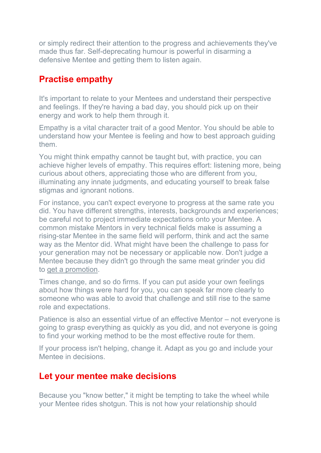or simply redirect their attention to the progress and achievements they've made thus far. Self-deprecating humour is powerful in disarming a defensive Mentee and getting them to listen again.

# **Practise empathy**

It's important to relate to your Mentees and understand their perspective and feelings. If they're having a bad day, you should pick up on their energy and work to help them through it.

Empathy is a vital character trait of a good Mentor. You should be able to understand how your Mentee is feeling and how to best approach guiding them.

You might think empathy cannot be taught but, with practice, you can achieve higher levels of empathy. This requires effort: listening more, being curious about others, appreciating those who are different from you, illuminating any innate judgments, and educating yourself to break false stigmas and ignorant notions.

For instance, you can't expect everyone to progress at the same rate you did. You have different strengths, interests, backgrounds and experiences; be careful not to project immediate expectations onto your Mentee. A common mistake Mentors in very technical fields make is assuming a rising-star Mentee in the same field will perform, think and act the same way as the Mentor did. What might have been the challenge to pass for your generation may not be necessary or applicable now. Don't judge a Mentee because they didn't go through the same meat grinder you did to get a promotion.

Times change, and so do firms. If you can put aside your own feelings about how things were hard for you, you can speak far more clearly to someone who was able to avoid that challenge and still rise to the same role and expectations.

Patience is also an essential virtue of an effective Mentor – not everyone is going to grasp everything as quickly as you did, and not everyone is going to find your working method to be the most effective route for them.

If your process isn't helping, change it. Adapt as you go and include your Mentee in decisions.

## **Let your mentee make decisions**

Because you "know better," it might be tempting to take the wheel while your Mentee rides shotgun. This is not how your relationship should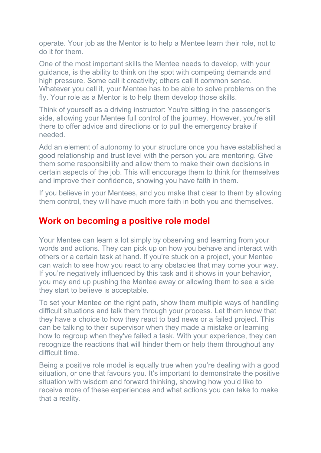operate. Your job as the Mentor is to help a Mentee learn their role, not to do it for them.

One of the most important skills the Mentee needs to develop, with your guidance, is the ability to think on the spot with competing demands and high pressure. Some call it creativity; others call it common sense. Whatever you call it, your Mentee has to be able to solve problems on the fly. Your role as a Mentor is to help them develop those skills.

Think of yourself as a driving instructor: You're sitting in the passenger's side, allowing your Mentee full control of the journey. However, you're still there to offer advice and directions or to pull the emergency brake if needed.

Add an element of autonomy to your structure once you have established a good relationship and trust level with the person you are mentoring. Give them some responsibility and allow them to make their own decisions in certain aspects of the job. This will encourage them to think for themselves and improve their confidence, showing you have faith in them.

If you believe in your Mentees, and you make that clear to them by allowing them control, they will have much more faith in both you and themselves.

#### **Work on becoming a positive role model**

Your Mentee can learn a lot simply by observing and learning from your words and actions. They can pick up on how you behave and interact with others or a certain task at hand. If you're stuck on a project, your Mentee can watch to see how you react to any obstacles that may come your way. If you're negatively influenced by this task and it shows in your behavior, you may end up pushing the Mentee away or allowing them to see a side they start to believe is acceptable.

To set your Mentee on the right path, show them multiple ways of handling difficult situations and talk them through your process. Let them know that they have a choice to how they react to bad news or a failed project. This can be talking to their supervisor when they made a mistake or learning how to regroup when they've failed a task. With your experience, they can recognize the reactions that will hinder them or help them throughout any difficult time.

Being a positive role model is equally true when you're dealing with a good situation, or one that favours you. It's important to demonstrate the positive situation with wisdom and forward thinking, showing how you'd like to receive more of these experiences and what actions you can take to make that a reality.